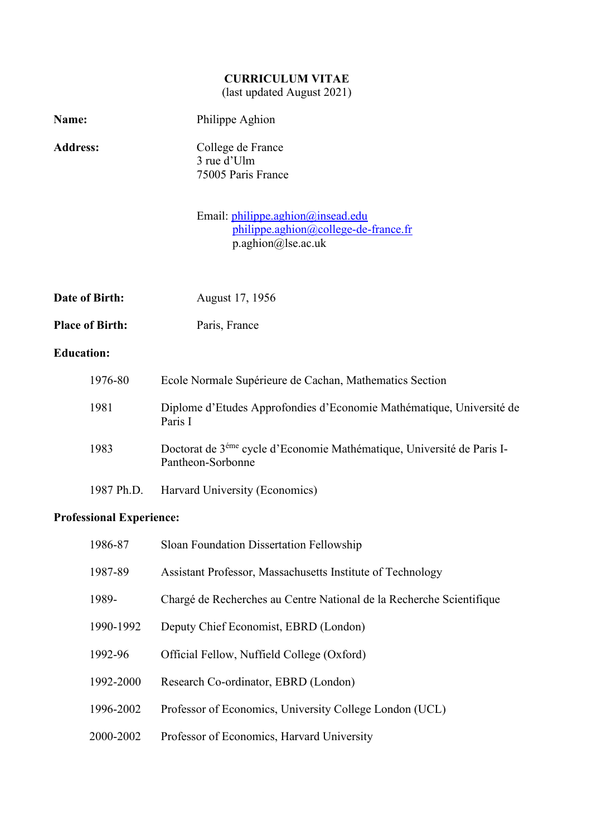# **CURRICULUM VITAE**

(last updated August 2021)

| Name:                  | Philippe Aghion                                                                                         |
|------------------------|---------------------------------------------------------------------------------------------------------|
| <b>Address:</b>        | College de France<br>3 rue d'Ulm<br>75005 Paris France                                                  |
|                        | Email: philippe.aghion@insead.edu<br>philippe.aghion@college-de-france.fr<br>p.aghion@lse.ac.uk         |
| Date of Birth:         | August 17, 1956                                                                                         |
| <b>Place of Birth:</b> | Paris, France                                                                                           |
| <b>Education:</b>      |                                                                                                         |
| 1976-80                | Ecole Normale Supérieure de Cachan, Mathematics Section                                                 |
| 1981                   | Diplome d'Etudes Approfondies d'Economie Mathématique, Université de<br>Paris I                         |
| 1983                   | Doctorat de 3 <sup>éme</sup> cycle d'Economie Mathématique, Université de Paris I-<br>Pantheon-Sorbonne |

1987 Ph.D. Harvard University (Economics)

# **Professional Experience:**

| 1986-87   | Sloan Foundation Dissertation Fellowship                             |
|-----------|----------------------------------------------------------------------|
| 1987-89   | Assistant Professor, Massachusetts Institute of Technology           |
| 1989-     | Chargé de Recherches au Centre National de la Recherche Scientifique |
| 1990-1992 | Deputy Chief Economist, EBRD (London)                                |
| 1992-96   | Official Fellow, Nuffield College (Oxford)                           |
| 1992-2000 | Research Co-ordinator, EBRD (London)                                 |
| 1996-2002 | Professor of Economics, University College London (UCL)              |
| 2000-2002 | Professor of Economics, Harvard University                           |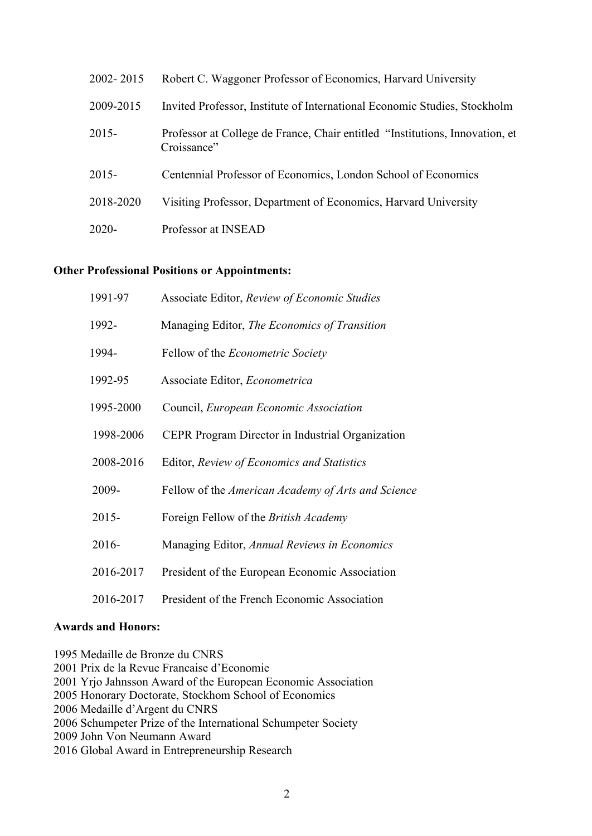| 2002-2015 | Robert C. Waggoner Professor of Economics, Harvard University                               |
|-----------|---------------------------------------------------------------------------------------------|
| 2009-2015 | Invited Professor, Institute of International Economic Studies, Stockholm                   |
| $2015 -$  | Professor at College de France, Chair entitled "Institutions, Innovation, et<br>Croissance" |
| $2015 -$  | Centennial Professor of Economics, London School of Economics                               |
| 2018-2020 | Visiting Professor, Department of Economics, Harvard University                             |
| $2020 -$  | Professor at INSEAD                                                                         |

#### **Other Professional Positions or Appointments:**

| 1991-97   | Associate Editor, Review of Economic Studies        |
|-----------|-----------------------------------------------------|
| 1992-     | Managing Editor, <i>The Economics of Transition</i> |
| 1994-     | Fellow of the <i>Econometric Society</i>            |
| 1992-95   | Associate Editor, <i>Econometrica</i>               |
| 1995-2000 | Council, European Economic Association              |
| 1998-2006 | CEPR Program Director in Industrial Organization    |
| 2008-2016 | Editor, Review of Economics and Statistics          |
| 2009-     | Fellow of the American Academy of Arts and Science  |
| $2015 -$  | Foreign Fellow of the <i>British Academy</i>        |
| 2016-     | Managing Editor, Annual Reviews in Economics        |
| 2016-2017 | President of the European Economic Association      |
| 2016-2017 | President of the French Economic Association        |

#### **Awards and Honors:**

1995 Medaille de Bronze du CNRS 2001 Prix de la Revue Francaise d'Economie 2001 Yrjo Jahnsson Award of the European Economic Association 2005 Honorary Doctorate, Stockhom School of Economics 2006 Medaille d'Argent du CNRS 2006 Schumpeter Prize of the International Schumpeter Society 2009 John Von Neumann Award 2016 Global Award in Entrepreneurship Research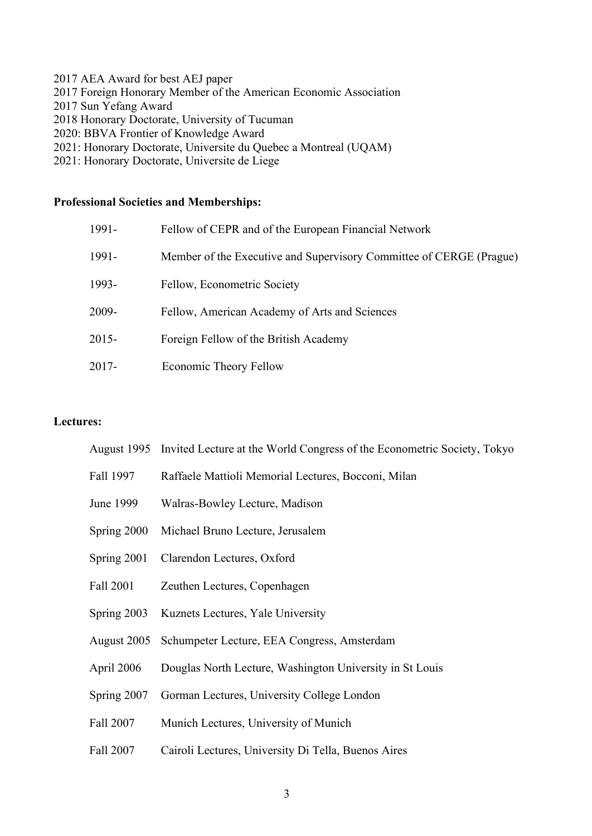- 2017 AEA Award for best AEJ paper
- 2017 Foreign Honorary Member of the American Economic Association
- 2017 Sun Yefang Award
- 2018 Honorary Doctorate, University of Tucuman
- 2020: BBVA Frontier of Knowledge Award
- 2021: Honorary Doctorate, Universite du Quebec a Montreal (UQAM)
- 2021: Honorary Doctorate, Universite de Liege

# **Professional Societies and Memberships:**

| 1991-    | Fellow of CEPR and of the European Financial Network                |
|----------|---------------------------------------------------------------------|
| 1991-    | Member of the Executive and Supervisory Committee of CERGE (Prague) |
| 1993-    | Fellow, Econometric Society                                         |
| 2009-    | Fellow, American Academy of Arts and Sciences                       |
| $2015 -$ | Foreign Fellow of the British Academy                               |
| $2017 -$ | Economic Theory Fellow                                              |

#### **Lectures:**

|             | August 1995 Invited Lecture at the World Congress of the Econometric Society, Tokyo |
|-------------|-------------------------------------------------------------------------------------|
| Fall 1997   | Raffaele Mattioli Memorial Lectures, Bocconi, Milan                                 |
| June 1999   | Walras-Bowley Lecture, Madison                                                      |
| Spring 2000 | Michael Bruno Lecture, Jerusalem                                                    |
| Spring 2001 | Clarendon Lectures, Oxford                                                          |
| Fall 2001   | Zeuthen Lectures, Copenhagen                                                        |
| Spring 2003 | Kuznets Lectures, Yale University                                                   |
| August 2005 | Schumpeter Lecture, EEA Congress, Amsterdam                                         |
| April 2006  | Douglas North Lecture, Washington University in St Louis                            |
| Spring 2007 | Gorman Lectures, University College London                                          |
| Fall 2007   | Munich Lectures, University of Munich                                               |
| Fall 2007   | Cairoli Lectures, University Di Tella, Buenos Aires                                 |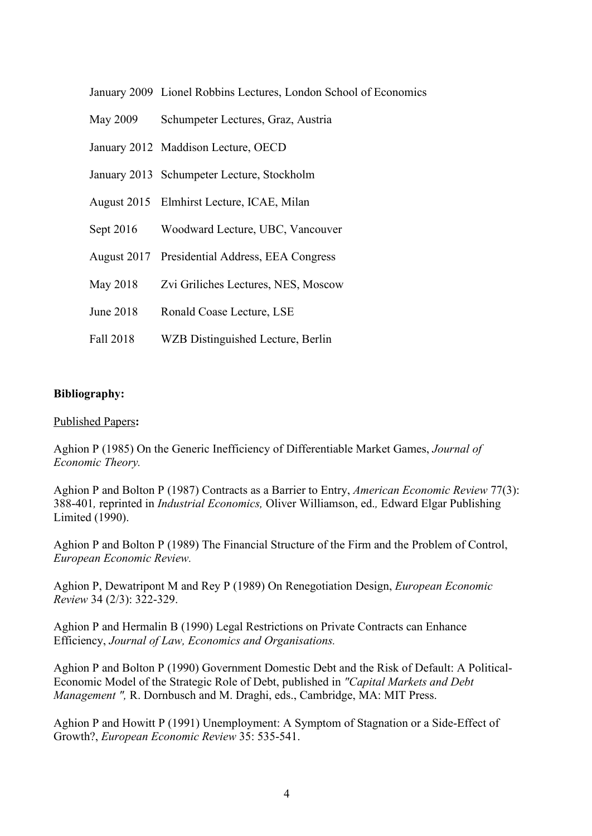- May 2009 Schumpeter Lectures, Graz, Austria
- January 2012 Maddison Lecture, OECD
- January 2013 Schumpeter Lecture, Stockholm
- August 2015 Elmhirst Lecture, ICAE, Milan
- Sept 2016 Woodward Lecture, UBC, Vancouver
- August 2017 Presidential Address, EEA Congress
- May 2018 Zvi Griliches Lectures, NES, Moscow
- June 2018 Ronald Coase Lecture, LSE
- Fall 2018 WZB Distinguished Lecture, Berlin

## **Bibliography:**

#### Published Papers**:**

Aghion P (1985) On the Generic Inefficiency of Differentiable Market Games, *Journal of Economic Theory.*

Aghion P and Bolton P (1987) Contracts as a Barrier to Entry, *American Economic Review* 77(3): 388-401*,* reprinted in *Industrial Economics,* Oliver Williamson, ed.*,* Edward Elgar Publishing Limited (1990).

Aghion P and Bolton P (1989) The Financial Structure of the Firm and the Problem of Control, *European Economic Review.* 

Aghion P, Dewatripont M and Rey P (1989) On Renegotiation Design, *European Economic Review* 34 (2/3): 322-329.

Aghion P and Hermalin B (1990) Legal Restrictions on Private Contracts can Enhance Efficiency, *Journal of Law, Economics and Organisations.*

Aghion P and Bolton P (1990) Government Domestic Debt and the Risk of Default: A Political-Economic Model of the Strategic Role of Debt, published in *"Capital Markets and Debt Management ",* R. Dornbusch and M. Draghi, eds., Cambridge, MA: MIT Press.

Aghion P and Howitt P (1991) Unemployment: A Symptom of Stagnation or a Side-Effect of Growth?, *European Economic Review* 35: 535-541.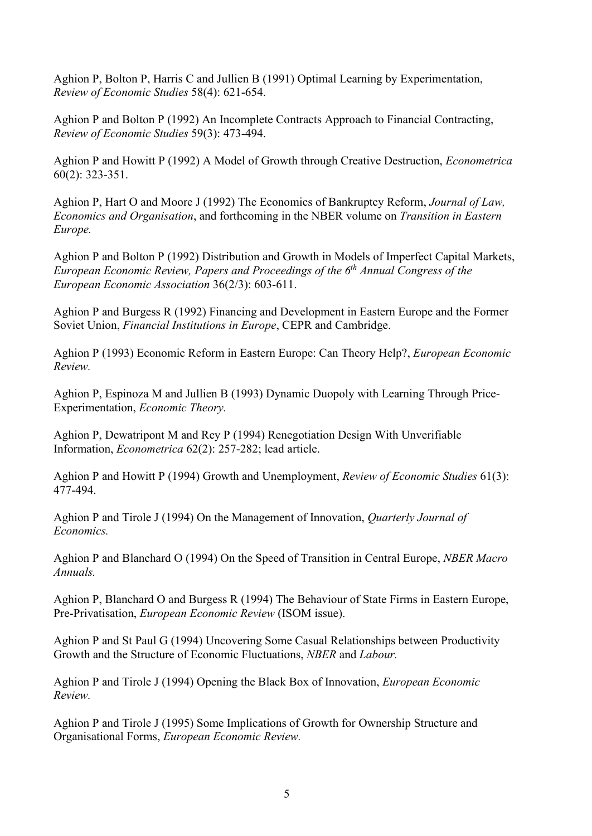Aghion P, Bolton P, Harris C and Jullien B (1991) Optimal Learning by Experimentation, *Review of Economic Studies* 58(4): 621-654.

Aghion P and Bolton P (1992) An Incomplete Contracts Approach to Financial Contracting, *Review of Economic Studies* 59(3): 473-494.

Aghion P and Howitt P (1992) A Model of Growth through Creative Destruction, *Econometrica* 60(2): 323-351.

Aghion P, Hart O and Moore J (1992) The Economics of Bankruptcy Reform, *Journal of Law, Economics and Organisation*, and forthcoming in the NBER volume on *Transition in Eastern Europe.*

Aghion P and Bolton P (1992) Distribution and Growth in Models of Imperfect Capital Markets, *European Economic Review, Papers and Proceedings of the 6th Annual Congress of the European Economic Association* 36(2/3): 603-611.

Aghion P and Burgess R (1992) Financing and Development in Eastern Europe and the Former Soviet Union, *Financial Institutions in Europe*, CEPR and Cambridge.

Aghion P (1993) Economic Reform in Eastern Europe: Can Theory Help?, *European Economic Review.*

Aghion P, Espinoza M and Jullien B (1993) Dynamic Duopoly with Learning Through Price-Experimentation, *Economic Theory.*

Aghion P, Dewatripont M and Rey P (1994) Renegotiation Design With Unverifiable Information, *Econometrica* 62(2): 257-282; lead article.

Aghion P and Howitt P (1994) Growth and Unemployment, *Review of Economic Studies* 61(3): 477-494.

Aghion P and Tirole J (1994) On the Management of Innovation, *Quarterly Journal of Economics.*

Aghion P and Blanchard O (1994) On the Speed of Transition in Central Europe, *NBER Macro Annuals.*

Aghion P, Blanchard O and Burgess R (1994) The Behaviour of State Firms in Eastern Europe, Pre-Privatisation, *European Economic Review* (ISOM issue).

Aghion P and St Paul G (1994) Uncovering Some Casual Relationships between Productivity Growth and the Structure of Economic Fluctuations, *NBER* and *Labour.*

Aghion P and Tirole J (1994) Opening the Black Box of Innovation, *European Economic Review.*

Aghion P and Tirole J (1995) Some Implications of Growth for Ownership Structure and Organisational Forms, *European Economic Review.*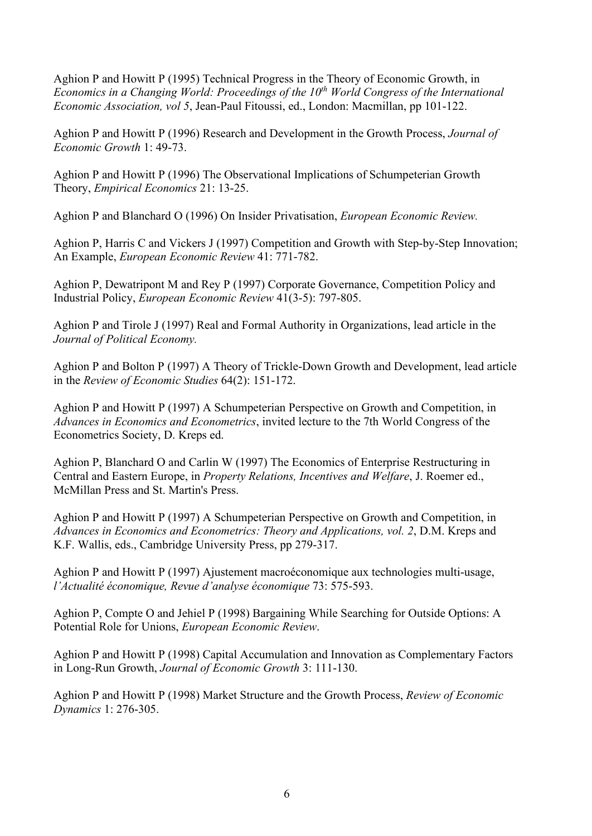Aghion P and Howitt P (1995) Technical Progress in the Theory of Economic Growth, in *Economics in a Changing World: Proceedings of the 10th World Congress of the International Economic Association, vol 5*, Jean-Paul Fitoussi, ed., London: Macmillan, pp 101-122.

Aghion P and Howitt P (1996) Research and Development in the Growth Process, *Journal of Economic Growth* 1: 49-73.

Aghion P and Howitt P (1996) The Observational Implications of Schumpeterian Growth Theory, *Empirical Economics* 21: 13-25.

Aghion P and Blanchard O (1996) On Insider Privatisation, *European Economic Review.*

Aghion P, Harris C and Vickers J (1997) Competition and Growth with Step-by-Step Innovation; An Example, *European Economic Review* 41: 771-782.

Aghion P, Dewatripont M and Rey P (1997) Corporate Governance, Competition Policy and Industrial Policy, *European Economic Review* 41(3-5): 797-805.

Aghion P and Tirole J (1997) Real and Formal Authority in Organizations, lead article in the *Journal of Political Economy.*

Aghion P and Bolton P (1997) A Theory of Trickle-Down Growth and Development, lead article in the *Review of Economic Studies* 64(2): 151-172.

Aghion P and Howitt P (1997) A Schumpeterian Perspective on Growth and Competition, in *Advances in Economics and Econometrics*, invited lecture to the 7th World Congress of the Econometrics Society, D. Kreps ed.

Aghion P, Blanchard O and Carlin W (1997) The Economics of Enterprise Restructuring in Central and Eastern Europe, in *Property Relations, Incentives and Welfare*, J. Roemer ed., McMillan Press and St. Martin's Press.

Aghion P and Howitt P (1997) A Schumpeterian Perspective on Growth and Competition, in *Advances in Economics and Econometrics: Theory and Applications, vol. 2*, D.M. Kreps and K.F. Wallis, eds., Cambridge University Press, pp 279-317.

Aghion P and Howitt P (1997) Ajustement macroéconomique aux technologies multi-usage, *l'Actualité économique, Revue d'analyse économique* 73: 575-593.

Aghion P, Compte O and Jehiel P (1998) Bargaining While Searching for Outside Options: A Potential Role for Unions, *European Economic Review*.

Aghion P and Howitt P (1998) Capital Accumulation and Innovation as Complementary Factors in Long-Run Growth, *Journal of Economic Growth* 3: 111-130.

Aghion P and Howitt P (1998) Market Structure and the Growth Process, *Review of Economic Dynamics* 1: 276-305.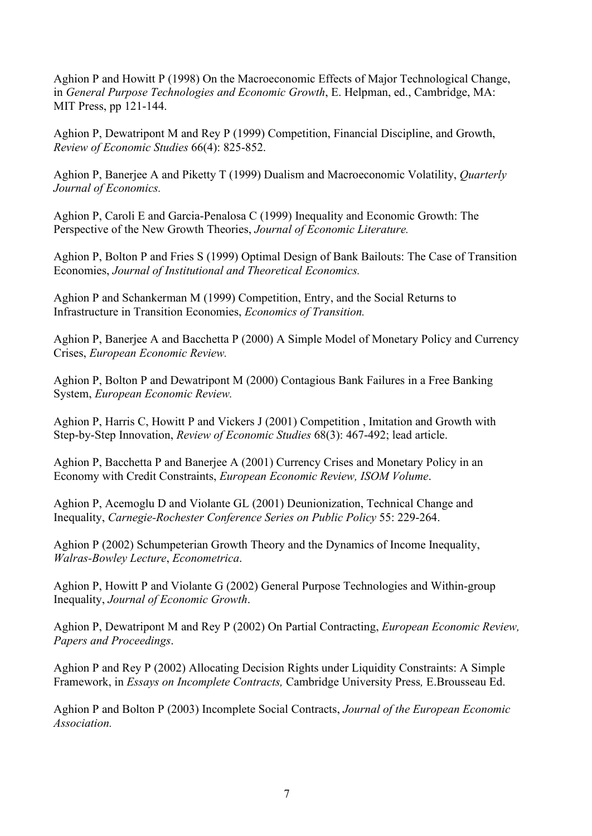Aghion P and Howitt P (1998) On the Macroeconomic Effects of Major Technological Change, in *General Purpose Technologies and Economic Growth*, E. Helpman, ed., Cambridge, MA: MIT Press, pp 121-144.

Aghion P, Dewatripont M and Rey P (1999) Competition, Financial Discipline, and Growth, *Review of Economic Studies* 66(4): 825-852.

Aghion P, Banerjee A and Piketty T (1999) Dualism and Macroeconomic Volatility, *Quarterly Journal of Economics.*

Aghion P, Caroli E and Garcia-Penalosa C (1999) Inequality and Economic Growth: The Perspective of the New Growth Theories, *Journal of Economic Literature.*

Aghion P, Bolton P and Fries S (1999) Optimal Design of Bank Bailouts: The Case of Transition Economies, *Journal of Institutional and Theoretical Economics.*

Aghion P and Schankerman M (1999) Competition, Entry, and the Social Returns to Infrastructure in Transition Economies, *Economics of Transition.*

Aghion P, Banerjee A and Bacchetta P (2000) A Simple Model of Monetary Policy and Currency Crises, *European Economic Review.*

Aghion P, Bolton P and Dewatripont M (2000) Contagious Bank Failures in a Free Banking System, *European Economic Review.*

Aghion P, Harris C, Howitt P and Vickers J (2001) Competition , Imitation and Growth with Step-by-Step Innovation, *Review of Economic Studies* 68(3): 467-492; lead article.

Aghion P, Bacchetta P and Banerjee A (2001) Currency Crises and Monetary Policy in an Economy with Credit Constraints, *European Economic Review, ISOM Volume*.

Aghion P, Acemoglu D and Violante GL (2001) Deunionization, Technical Change and Inequality, *Carnegie-Rochester Conference Series on Public Policy* 55: 229-264.

Aghion P (2002) Schumpeterian Growth Theory and the Dynamics of Income Inequality, *Walras-Bowley Lecture*, *Econometrica*.

Aghion P, Howitt P and Violante G (2002) General Purpose Technologies and Within-group Inequality, *Journal of Economic Growth*.

Aghion P, Dewatripont M and Rey P (2002) On Partial Contracting, *European Economic Review, Papers and Proceedings*.

Aghion P and Rey P (2002) Allocating Decision Rights under Liquidity Constraints: A Simple Framework, in *Essays on Incomplete Contracts,* Cambridge University Press*,* E.Brousseau Ed.

Aghion P and Bolton P (2003) Incomplete Social Contracts, *Journal of the European Economic Association.*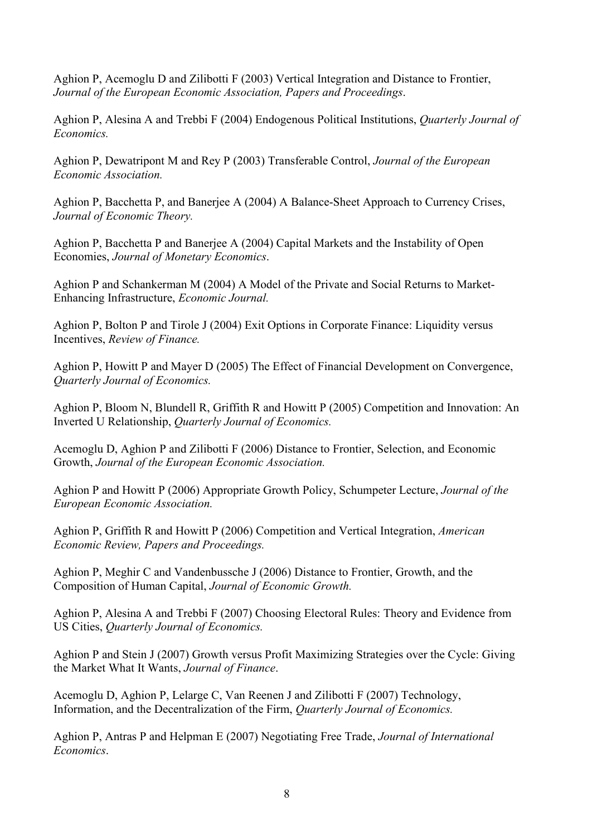Aghion P, Acemoglu D and Zilibotti F (2003) Vertical Integration and Distance to Frontier, *Journal of the European Economic Association, Papers and Proceedings*.

Aghion P, Alesina A and Trebbi F (2004) Endogenous Political Institutions, *Quarterly Journal of Economics.*

Aghion P, Dewatripont M and Rey P (2003) Transferable Control, *Journal of the European Economic Association.*

Aghion P, Bacchetta P, and Banerjee A (2004) A Balance-Sheet Approach to Currency Crises, *Journal of Economic Theory.*

Aghion P, Bacchetta P and Banerjee A (2004) Capital Markets and the Instability of Open Economies, *Journal of Monetary Economics*.

Aghion P and Schankerman M (2004) A Model of the Private and Social Returns to Market-Enhancing Infrastructure, *Economic Journal.*

Aghion P, Bolton P and Tirole J (2004) Exit Options in Corporate Finance: Liquidity versus Incentives, *Review of Finance.*

Aghion P, Howitt P and Mayer D (2005) The Effect of Financial Development on Convergence, *Quarterly Journal of Economics.*

Aghion P, Bloom N, Blundell R, Griffith R and Howitt P (2005) Competition and Innovation: An Inverted U Relationship, *Quarterly Journal of Economics.*

Acemoglu D, Aghion P and Zilibotti F (2006) Distance to Frontier, Selection, and Economic Growth, *Journal of the European Economic Association.*

Aghion P and Howitt P (2006) Appropriate Growth Policy, Schumpeter Lecture, *Journal of the European Economic Association.*

Aghion P, Griffith R and Howitt P (2006) Competition and Vertical Integration, *American Economic Review, Papers and Proceedings.*

Aghion P, Meghir C and Vandenbussche J (2006) Distance to Frontier, Growth, and the Composition of Human Capital, *Journal of Economic Growth.*

Aghion P, Alesina A and Trebbi F (2007) Choosing Electoral Rules: Theory and Evidence from US Cities, *Quarterly Journal of Economics.*

Aghion P and Stein J (2007) Growth versus Profit Maximizing Strategies over the Cycle: Giving the Market What It Wants, *Journal of Finance*.

Acemoglu D, Aghion P, Lelarge C, Van Reenen J and Zilibotti F (2007) Technology, Information, and the Decentralization of the Firm, *Quarterly Journal of Economics.*

Aghion P, Antras P and Helpman E (2007) Negotiating Free Trade, *Journal of International Economics*.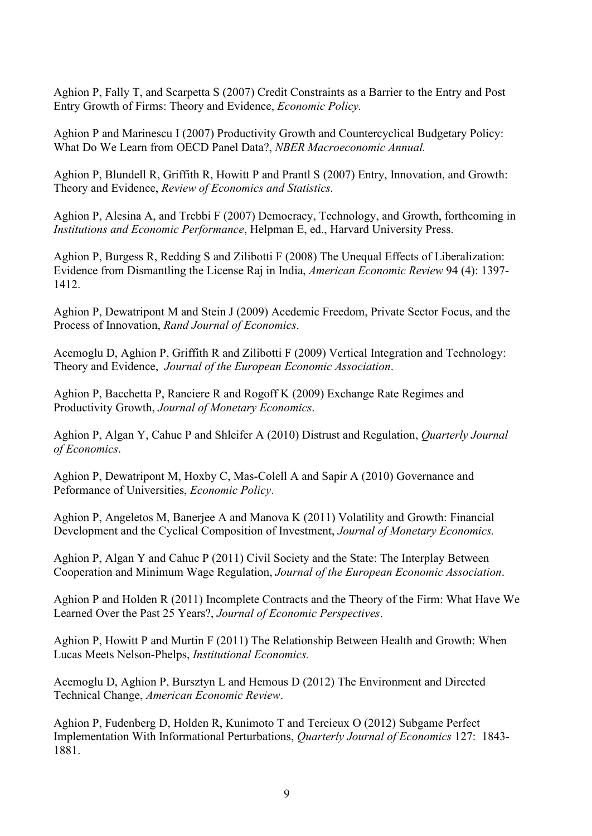Aghion P, Fally T, and Scarpetta S (2007) Credit Constraints as a Barrier to the Entry and Post Entry Growth of Firms: Theory and Evidence, *Economic Policy.*

Aghion P and Marinescu I (2007) Productivity Growth and Countercyclical Budgetary Policy: What Do We Learn from OECD Panel Data?, *NBER Macroeconomic Annual.*

Aghion P, Blundell R, Griffith R, Howitt P and Prantl S (2007) Entry, Innovation, and Growth: Theory and Evidence, *Review of Economics and Statistics.*

Aghion P, Alesina A, and Trebbi F (2007) Democracy, Technology, and Growth, forthcoming in *Institutions and Economic Performance*, Helpman E, ed., Harvard University Press.

Aghion P, Burgess R, Redding S and Zilibotti F (2008) The Unequal Effects of Liberalization: Evidence from Dismantling the License Raj in India, *American Economic Review* 94 (4): 1397- 1412.

Aghion P, Dewatripont M and Stein J (2009) Acedemic Freedom, Private Sector Focus, and the Process of Innovation, *Rand Journal of Economics*.

Acemoglu D, Aghion P, Griffith R and Zilibotti F (2009) Vertical Integration and Technology: Theory and Evidence, *Journal of the European Economic Association*.

Aghion P, Bacchetta P, Ranciere R and Rogoff K (2009) Exchange Rate Regimes and Productivity Growth, *Journal of Monetary Economics*.

Aghion P, Algan Y, Cahuc P and Shleifer A (2010) Distrust and Regulation, *Quarterly Journal of Economics*.

Aghion P, Dewatripont M, Hoxby C, Mas-Colell A and Sapir A (2010) Governance and Peformance of Universities, *Economic Policy*.

Aghion P, Angeletos M, Banerjee A and Manova K (2011) Volatility and Growth: Financial Development and the Cyclical Composition of Investment, *Journal of Monetary Economics.*

Aghion P, Algan Y and Cahuc P (2011) Civil Society and the State: The Interplay Between Cooperation and Minimum Wage Regulation, *Journal of the European Economic Association*.

Aghion P and Holden R (2011) Incomplete Contracts and the Theory of the Firm: What Have We Learned Over the Past 25 Years?, *Journal of Economic Perspectives*.

Aghion P, Howitt P and Murtin F (2011) The Relationship Between Health and Growth: When Lucas Meets Nelson-Phelps, *Institutional Economics.*

Acemoglu D, Aghion P, Bursztyn L and Hemous D (2012) The Environment and Directed Technical Change, *American Economic Review*.

Aghion P, Fudenberg D, Holden R, Kunimoto T and Tercieux O (2012) Subgame Perfect Implementation With Informational Perturbations, *Quarterly Journal of Economics* 127: 1843- 1881.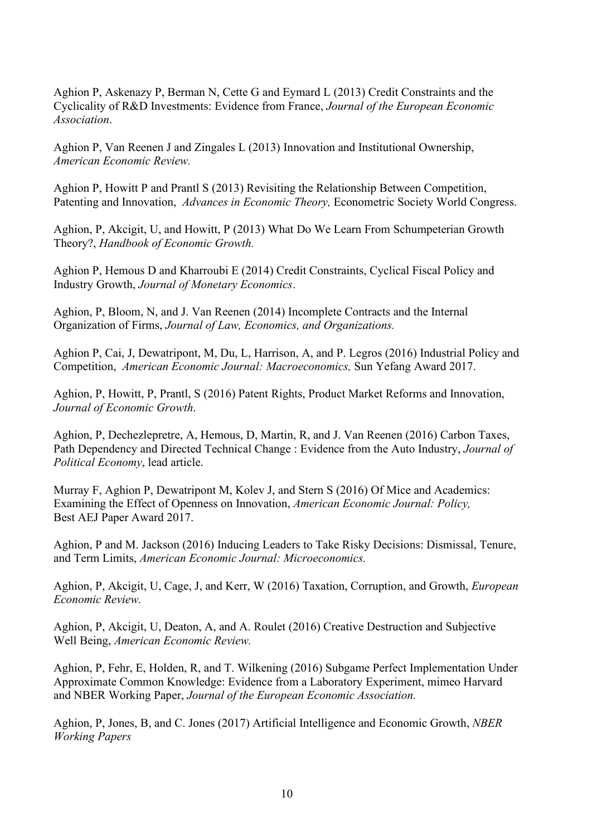Aghion P, Askenazy P, Berman N, Cette G and Eymard L (2013) Credit Constraints and the Cyclicality of R&D Investments: Evidence from France, *Journal of the European Economic Association*.

Aghion P, Van Reenen J and Zingales L (2013) Innovation and Institutional Ownership, *American Economic Review.*

Aghion P, Howitt P and Prantl S (2013) Revisiting the Relationship Between Competition, Patenting and Innovation, *Advances in Economic Theory,* Econometric Society World Congress.

Aghion, P, Akcigit, U, and Howitt, P (2013) What Do We Learn From Schumpeterian Growth Theory?, *Handbook of Economic Growth.*

Aghion P, Hemous D and Kharroubi E (2014) Credit Constraints, Cyclical Fiscal Policy and Industry Growth, *Journal of Monetary Economics*.

Aghion, P, Bloom, N, and J. Van Reenen (2014) Incomplete Contracts and the Internal Organization of Firms, *Journal of Law, Economics, and Organizations.*

Aghion P, Cai, J, Dewatripont, M, Du, L, Harrison, A, and P. Legros (2016) Industrial Policy and Competition, *American Economic Journal: Macroeconomics,* Sun Yefang Award 2017.

Aghion, P, Howitt, P, Prantl, S (2016) Patent Rights, Product Market Reforms and Innovation, *Journal of Economic Growth*.

Aghion, P, Dechezlepretre, A, Hemous, D, Martin, R, and J. Van Reenen (2016) Carbon Taxes, Path Dependency and Directed Technical Change : Evidence from the Auto Industry, *Journal of Political Economy*, lead article.

Murray F, Aghion P, Dewatripont M, Kolev J, and Stern S (2016) Of Mice and Academics: Examining the Effect of Openness on Innovation, *American Economic Journal: Policy,* Best AEJ Paper Award 2017.

Aghion, P and M. Jackson (2016) Inducing Leaders to Take Risky Decisions: Dismissal, Tenure, and Term Limits, *American Economic Journal: Microeconomics.*

Aghion, P, Akcigit, U, Cage, J, and Kerr, W (2016) Taxation, Corruption, and Growth, *European Economic Review.*

Aghion, P, Akcigit, U, Deaton, A, and A. Roulet (2016) Creative Destruction and Subjective Well Being, *American Economic Review.*

Aghion, P, Fehr, E, Holden, R, and T. Wilkening (2016) Subgame Perfect Implementation Under Approximate Common Knowledge: Evidence from a Laboratory Experiment, mimeo Harvard and NBER Working Paper, *Journal of the European Economic Association.*

Aghion, P, Jones, B, and C. Jones (2017) Artificial Intelligence and Economic Growth, *NBER Working Papers*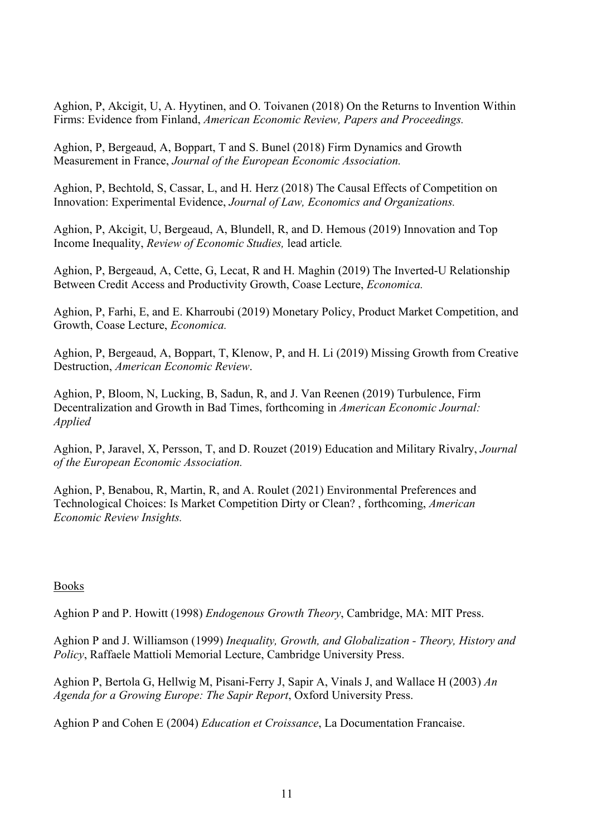Aghion, P, Akcigit, U, A. Hyytinen, and O. Toivanen (2018) On the Returns to Invention Within Firms: Evidence from Finland, *American Economic Review, Papers and Proceedings.*

Aghion, P, Bergeaud, A, Boppart, T and S. Bunel (2018) Firm Dynamics and Growth Measurement in France, *Journal of the European Economic Association.*

Aghion, P, Bechtold, S, Cassar, L, and H. Herz (2018) The Causal Effects of Competition on Innovation: Experimental Evidence, *Journal of Law, Economics and Organizations.*

Aghion, P, Akcigit, U, Bergeaud, A, Blundell, R, and D. Hemous (2019) Innovation and Top Income Inequality, *Review of Economic Studies,* lead article*.*

Aghion, P, Bergeaud, A, Cette, G, Lecat, R and H. Maghin (2019) The Inverted-U Relationship Between Credit Access and Productivity Growth, Coase Lecture, *Economica.*

Aghion, P, Farhi, E, and E. Kharroubi (2019) Monetary Policy, Product Market Competition, and Growth, Coase Lecture, *Economica.*

Aghion, P, Bergeaud, A, Boppart, T, Klenow, P, and H. Li (2019) Missing Growth from Creative Destruction, *American Economic Review*.

Aghion, P, Bloom, N, Lucking, B, Sadun, R, and J. Van Reenen (2019) Turbulence, Firm Decentralization and Growth in Bad Times, forthcoming in *American Economic Journal: Applied*

Aghion, P, Jaravel, X, Persson, T, and D. Rouzet (2019) Education and Military Rivalry, *Journal of the European Economic Association.*

Aghion, P, Benabou, R, Martin, R, and A. Roulet (2021) Environmental Preferences and Technological Choices: Is Market Competition Dirty or Clean? , forthcoming, *American Economic Review Insights.*

#### Books

Aghion P and P. Howitt (1998) *Endogenous Growth Theory*, Cambridge, MA: MIT Press.

Aghion P and J. Williamson (1999) *Inequality, Growth, and Globalization - Theory, History and Policy*, Raffaele Mattioli Memorial Lecture, Cambridge University Press.

Aghion P, Bertola G, Hellwig M, Pisani-Ferry J, Sapir A, Vinals J, and Wallace H (2003) *An Agenda for a Growing Europe: The Sapir Report*, Oxford University Press.

Aghion P and Cohen E (2004) *Education et Croissance*, La Documentation Francaise.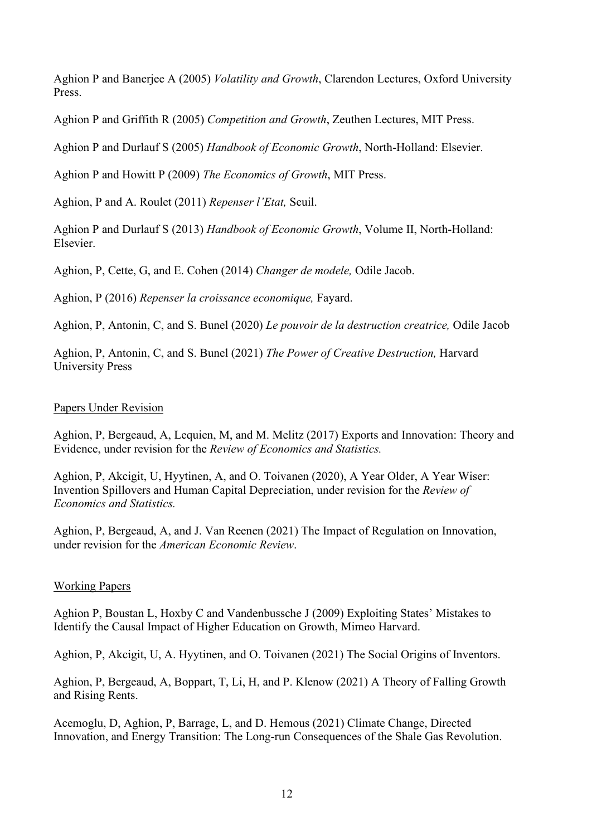Aghion P and Banerjee A (2005) *Volatility and Growth*, Clarendon Lectures, Oxford University Press.

Aghion P and Griffith R (2005) *Competition and Growth*, Zeuthen Lectures, MIT Press.

Aghion P and Durlauf S (2005) *Handbook of Economic Growth*, North-Holland: Elsevier.

Aghion P and Howitt P (2009) *The Economics of Growth*, MIT Press.

Aghion, P and A. Roulet (2011) *Repenser l'Etat,* Seuil.

Aghion P and Durlauf S (2013) *Handbook of Economic Growth*, Volume II, North-Holland: Elsevier.

Aghion, P, Cette, G, and E. Cohen (2014) *Changer de modele,* Odile Jacob.

Aghion, P (2016) *Repenser la croissance economique,* Fayard.

Aghion, P, Antonin, C, and S. Bunel (2020) *Le pouvoir de la destruction creatrice,* Odile Jacob

Aghion, P, Antonin, C, and S. Bunel (2021) *The Power of Creative Destruction,* Harvard University Press

## Papers Under Revision

Aghion, P, Bergeaud, A, Lequien, M, and M. Melitz (2017) Exports and Innovation: Theory and Evidence, under revision for the *Review of Economics and Statistics.*

Aghion, P, Akcigit, U, Hyytinen, A, and O. Toivanen (2020), A Year Older, A Year Wiser: Invention Spillovers and Human Capital Depreciation, under revision for the *Review of Economics and Statistics.*

Aghion, P, Bergeaud, A, and J. Van Reenen (2021) The Impact of Regulation on Innovation, under revision for the *American Economic Review*.

# Working Papers

Aghion P, Boustan L, Hoxby C and Vandenbussche J (2009) Exploiting States' Mistakes to Identify the Causal Impact of Higher Education on Growth, Mimeo Harvard.

Aghion, P, Akcigit, U, A. Hyytinen, and O. Toivanen (2021) The Social Origins of Inventors.

Aghion, P, Bergeaud, A, Boppart, T, Li, H, and P. Klenow (2021) A Theory of Falling Growth and Rising Rents.

Acemoglu, D, Aghion, P, Barrage, L, and D. Hemous (2021) Climate Change, Directed Innovation, and Energy Transition: The Long-run Consequences of the Shale Gas Revolution.